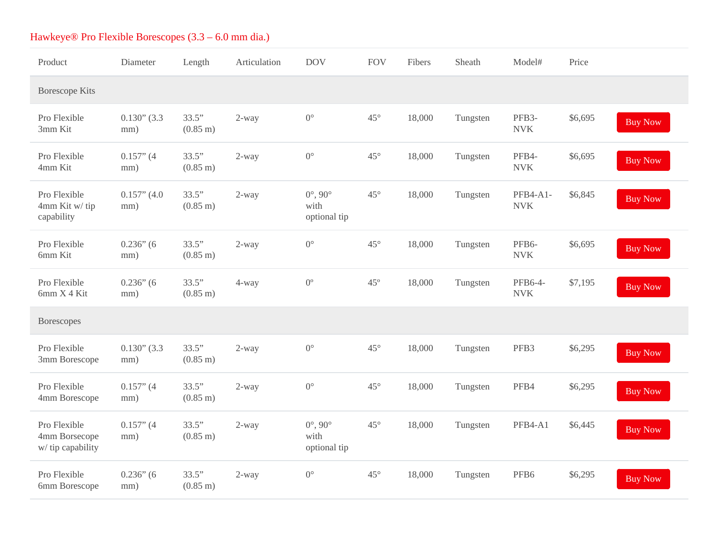| Product                                            | <b>Diameter</b>       | Length                      | Articulation | <b>DOV</b>                                     | <b>FOV</b>   | Fibers | Sheath   | Model#                           | Price   |                |
|----------------------------------------------------|-----------------------|-----------------------------|--------------|------------------------------------------------|--------------|--------|----------|----------------------------------|---------|----------------|
| <b>Borescope Kits</b>                              |                       |                             |              |                                                |              |        |          |                                  |         |                |
| Pro Flexible<br>3mm Kit                            | $0.130"$ (3.3)<br>mm) | 33.5"<br>$(0.85 \text{ m})$ | 2-way        | $0^{\circ}$                                    | $45^{\circ}$ | 18,000 | Tungsten | PFB <sub>3</sub> -<br><b>NVK</b> | \$6,695 | <b>Buy Now</b> |
| Pro Flexible<br>4mm Kit                            | $0.157"$ (4<br>mm)    | 33.5"<br>$(0.85 \text{ m})$ | 2-way        | $0^{\circ}$                                    | $45^{\circ}$ | 18,000 | Tungsten | PFB4-<br><b>NVK</b>              | \$6,695 | <b>Buy Now</b> |
| Pro Flexible<br>4mm Kit w/ tip<br>capability       | $0.157"$ (4.0<br>mm)  | 33.5"<br>$(0.85 \text{ m})$ | 2-way        | $0^\circ$ , $90^\circ$<br>with<br>optional tip | $45^{\circ}$ | 18,000 | Tungsten | PFB4-A1-<br><b>NVK</b>           | \$6,845 | <b>Buy Now</b> |
| Pro Flexible<br>6mm Kit                            | $0.236"$ (6<br>mm)    | 33.5"<br>(0.85 m)           | 2-way        | $0^{\circ}$                                    | $45^{\circ}$ | 18,000 | Tungsten | PFB6-<br><b>NVK</b>              | \$6,695 | <b>Buy Now</b> |
| Pro Flexible<br>6mm X 4 Kit                        | $0.236"$ (6<br>mm)    | 33.5"<br>$(0.85 \text{ m})$ | 4-way        | $0^{\circ}$                                    | 45°          | 18,000 | Tungsten | PFB6-4-<br><b>NVK</b>            | \$7,195 | <b>Buy Now</b> |
| <b>Borescopes</b>                                  |                       |                             |              |                                                |              |        |          |                                  |         |                |
| Pro Flexible<br>3mm Borescope                      | $0.130"$ (3.3)<br>mm) | 33.5"<br>$(0.85 \text{ m})$ | 2-way        | $0^{\circ}$                                    | $45^{\circ}$ | 18,000 | Tungsten | PFB <sub>3</sub>                 | \$6,295 | <b>Buy Now</b> |
| Pro Flexible<br>4mm Borescope                      | $0.157$ " (4<br>mm)   | 33.5"<br>$(0.85 \text{ m})$ | 2-way        | $0^{\circ}$                                    | $45^{\circ}$ | 18,000 | Tungsten | PFB4                             | \$6,295 | <b>Buy Now</b> |
| Pro Flexible<br>4mm Borsecope<br>w/ tip capability | $0.157"$ (4<br>mm)    | 33.5"<br>$(0.85 \text{ m})$ | 2-way        | $0^\circ$ , $90^\circ$<br>with<br>optional tip | $45^{\circ}$ | 18,000 | Tungsten | PFB4-A1                          | \$6,445 | <b>Buy Now</b> |
| Pro Flexible<br>6mm Borescope                      | $0.236"$ (6<br>mm)    | 33.5"<br>$(0.85 \text{ m})$ | 2-way        | $0^{\circ}$                                    | $45^{\circ}$ | 18,000 | Tungsten | PFB <sub>6</sub>                 | \$6,295 | <b>Buy Now</b> |

## Hawkeye® Pro Flexible Borescopes (3.3 – 6.0 mm dia.)